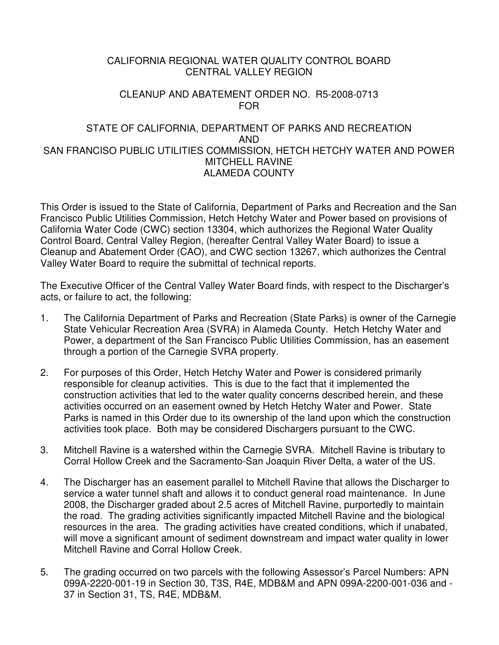## CALIFORNIA REGIONAL WATER QUALITY CONTROL BOARD CENTRAL VALLEY REGION

#### CLEANUP AND ABATEMENT ORDER NO. R5-2008-0713 FOR

### STATE OF CALIFORNIA, DEPARTMENT OF PARKS AND RECREATION AND SAN FRANCISO PUBLIC UTILITIES COMMISSION, HETCH HETCHY WATER AND POWER MITCHELL RAVINE ALAMEDA COUNTY

This Order is issued to the State of California, Department of Parks and Recreation and the San Francisco Public Utilities Commission, Hetch Hetchy Water and Power based on provisions of California Water Code (CWC) section 13304, which authorizes the Regional Water Quality Control Board, Central Valley Region, (hereafter Central Valley Water Board) to issue a Cleanup and Abatement Order (CAO), and CWC section 13267, which authorizes the Central Valley Water Board to require the submittal of technical reports.

The Executive Officer of the Central Valley Water Board finds, with respect to the Discharger's acts, or failure to act, the following:

- 1. The California Department of Parks and Recreation (State Parks) is owner of the Carnegie State Vehicular Recreation Area (SVRA) in Alameda County. Hetch Hetchy Water and Power, a department of the San Francisco Public Utilities Commission, has an easement through a portion of the Carnegie SVRA property.
- 2. For purposes of this Order, Hetch Hetchy Water and Power is considered primarily responsible for cleanup activities. This is due to the fact that it implemented the construction activities that led to the water quality concerns described herein, and these activities occurred on an easement owned by Hetch Hetchy Water and Power. State Parks is named in this Order due to its ownership of the land upon which the construction activities took place. Both may be considered Dischargers pursuant to the CWC.
- 3. Mitchell Ravine is a watershed within the Carnegie SVRA. Mitchell Ravine is tributary to Corral Hollow Creek and the Sacramento-San Joaquin River Delta, a water of the US.
- 4. The Discharger has an easement parallel to Mitchell Ravine that allows the Discharger to service a water tunnel shaft and allows it to conduct general road maintenance. In June 2008, the Discharger graded about 2.5 acres of Mitchell Ravine, purportedly to maintain the road. The grading activities significantly impacted Mitchell Ravine and the biological resources in the area. The grading activities have created conditions, which if unabated, will move a significant amount of sediment downstream and impact water quality in lower Mitchell Ravine and Corral Hollow Creek.
- 5. The grading occurred on two parcels with the following Assessor's Parcel Numbers: APN 099A-2220-001-19 in Section 30, T3S, R4E, MDB&M and APN 099A-2200-001-036 and - 37 in Section 31, TS, R4E, MDB&M.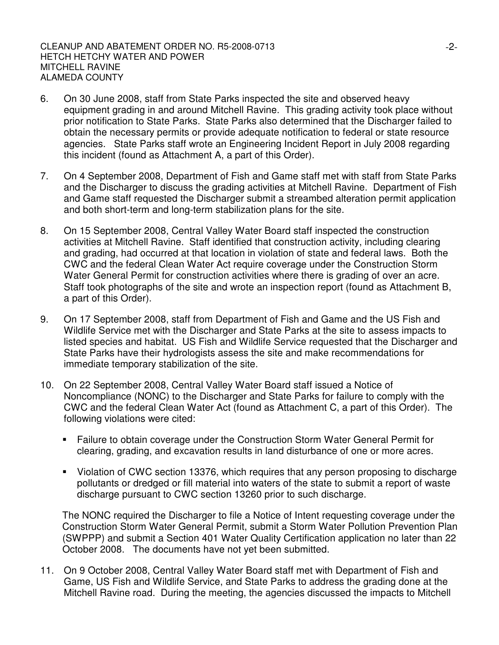- 6. On 30 June 2008, staff from State Parks inspected the site and observed heavy equipment grading in and around Mitchell Ravine. This grading activity took place without prior notification to State Parks. State Parks also determined that the Discharger failed to obtain the necessary permits or provide adequate notification to federal or state resource agencies. State Parks staff wrote an Engineering Incident Report in July 2008 regarding this incident (found as Attachment A, a part of this Order).
- 7. On 4 September 2008, Department of Fish and Game staff met with staff from State Parks and the Discharger to discuss the grading activities at Mitchell Ravine. Department of Fish and Game staff requested the Discharger submit a streambed alteration permit application and both short-term and long-term stabilization plans for the site.
- 8. On 15 September 2008, Central Valley Water Board staff inspected the construction activities at Mitchell Ravine. Staff identified that construction activity, including clearing and grading, had occurred at that location in violation of state and federal laws. Both the CWC and the federal Clean Water Act require coverage under the Construction Storm Water General Permit for construction activities where there is grading of over an acre. Staff took photographs of the site and wrote an inspection report (found as Attachment B, a part of this Order).
- 9. On 17 September 2008, staff from Department of Fish and Game and the US Fish and Wildlife Service met with the Discharger and State Parks at the site to assess impacts to listed species and habitat. US Fish and Wildlife Service requested that the Discharger and State Parks have their hydrologists assess the site and make recommendations for immediate temporary stabilization of the site.
- 10. On 22 September 2008, Central Valley Water Board staff issued a Notice of Noncompliance (NONC) to the Discharger and State Parks for failure to comply with the CWC and the federal Clean Water Act (found as Attachment C, a part of this Order). The following violations were cited:
	- Failure to obtain coverage under the Construction Storm Water General Permit for clearing, grading, and excavation results in land disturbance of one or more acres.
	- Violation of CWC section 13376, which requires that any person proposing to discharge pollutants or dredged or fill material into waters of the state to submit a report of waste discharge pursuant to CWC section 13260 prior to such discharge.

The NONC required the Discharger to file a Notice of Intent requesting coverage under the Construction Storm Water General Permit, submit a Storm Water Pollution Prevention Plan (SWPPP) and submit a Section 401 Water Quality Certification application no later than 22 October 2008. The documents have not yet been submitted.

11. On 9 October 2008, Central Valley Water Board staff met with Department of Fish and Game, US Fish and Wildlife Service, and State Parks to address the grading done at the Mitchell Ravine road. During the meeting, the agencies discussed the impacts to Mitchell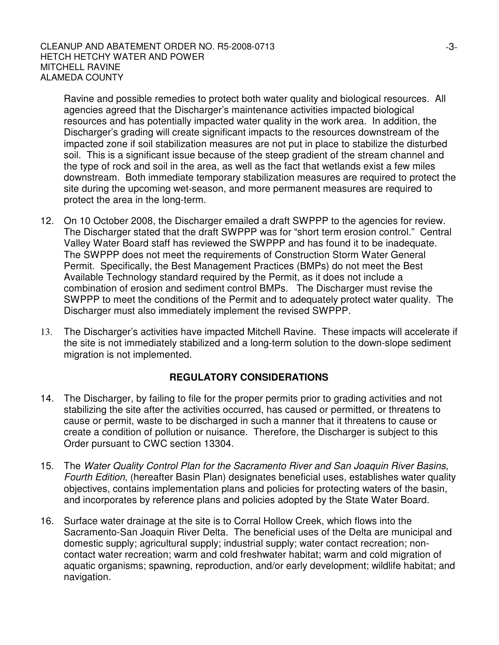Ravine and possible remedies to protect both water quality and biological resources. All agencies agreed that the Discharger's maintenance activities impacted biological resources and has potentially impacted water quality in the work area. In addition, the Discharger's grading will create significant impacts to the resources downstream of the impacted zone if soil stabilization measures are not put in place to stabilize the disturbed soil. This is a significant issue because of the steep gradient of the stream channel and the type of rock and soil in the area, as well as the fact that wetlands exist a few miles downstream. Both immediate temporary stabilization measures are required to protect the site during the upcoming wet-season, and more permanent measures are required to protect the area in the long-term.

- 12. On 10 October 2008, the Discharger emailed a draft SWPPP to the agencies for review. The Discharger stated that the draft SWPPP was for "short term erosion control." Central Valley Water Board staff has reviewed the SWPPP and has found it to be inadequate. The SWPPP does not meet the requirements of Construction Storm Water General Permit. Specifically, the Best Management Practices (BMPs) do not meet the Best Available Technology standard required by the Permit, as it does not include a combination of erosion and sediment control BMPs. The Discharger must revise the SWPPP to meet the conditions of the Permit and to adequately protect water quality. The Discharger must also immediately implement the revised SWPPP.
- 13. The Discharger's activities have impacted Mitchell Ravine. These impacts will accelerate if the site is not immediately stabilized and a long-term solution to the down-slope sediment migration is not implemented.

# **REGULATORY CONSIDERATIONS**

- 14. The Discharger, by failing to file for the proper permits prior to grading activities and not stabilizing the site after the activities occurred, has caused or permitted, or threatens to cause or permit, waste to be discharged in such a manner that it threatens to cause or create a condition of pollution or nuisance. Therefore, the Discharger is subject to this Order pursuant to CWC section 13304.
- 15. The *Water Quality Control Plan for the Sacramento River and San Joaquin River Basins, Fourth Edition*, (hereafter Basin Plan) designates beneficial uses, establishes water quality objectives, contains implementation plans and policies for protecting waters of the basin, and incorporates by reference plans and policies adopted by the State Water Board.
- 16. Surface water drainage at the site is to Corral Hollow Creek, which flows into the Sacramento-San Joaquin River Delta. The beneficial uses of the Delta are municipal and domestic supply; agricultural supply; industrial supply; water contact recreation; noncontact water recreation; warm and cold freshwater habitat; warm and cold migration of aquatic organisms; spawning, reproduction, and/or early development; wildlife habitat; and navigation.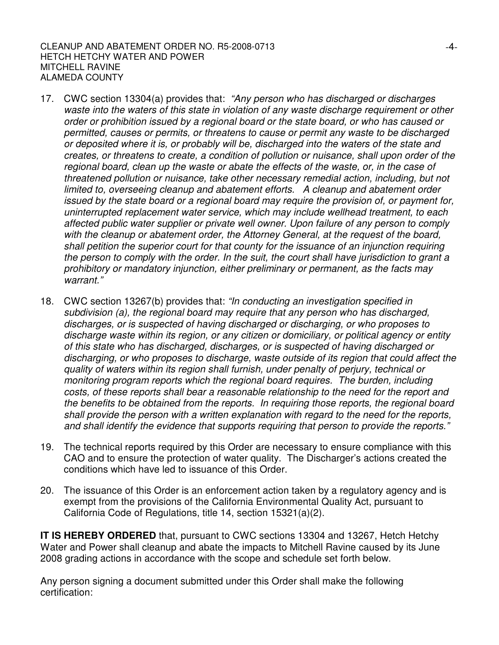#### CLEANUP AND ABATEMENT ORDER NO. R5-2008-0713 HETCH HETCHY WATER AND POWER MITCHELL RAVINE ALAMEDA COUNTY

- 17. CWC section 13304(a) provides that: *"Any person who has discharged or discharges waste into the waters of this state in violation of any waste discharge requirement or other order or prohibition issued by a regional board or the state board, or who has caused or permitted, causes or permits, or threatens to cause or permit any waste to be discharged or deposited where it is, or probably will be, discharged into the waters of the state and creates, or threatens to create, a condition of pollution or nuisance, shall upon order of the regional board, clean up the waste or abate the effects of the waste, or, in the case of threatened pollution or nuisance, take other necessary remedial action, including, but not limited to, overseeing cleanup and abatement efforts. A cleanup and abatement order issued by the state board or a regional board may require the provision of, or payment for, uninterrupted replacement water service, which may include wellhead treatment, to each affected public water supplier or private well owner. Upon failure of any person to comply with the cleanup or abatement order, the Attorney General, at the request of the board, shall petition the superior court for that county for the issuance of an injunction requiring the person to comply with the order. In the suit, the court shall have jurisdiction to grant a prohibitory or mandatory injunction, either preliminary or permanent, as the facts may warrant."*
- 18. CWC section 13267(b) provides that: *"In conducting an investigation specified in subdivision (a), the regional board may require that any person who has discharged, discharges, or is suspected of having discharged or discharging, or who proposes to discharge waste within its region, or any citizen or domiciliary, or political agency or entity of this state who has discharged, discharges, or is suspected of having discharged or discharging, or who proposes to discharge, waste outside of its region that could affect the quality of waters within its region shall furnish, under penalty of perjury, technical or monitoring program reports which the regional board requires. The burden, including costs, of these reports shall bear a reasonable relationship to the need for the report and the benefits to be obtained from the reports. In requiring those reports, the regional board shall provide the person with a written explanation with regard to the need for the reports, and shall identify the evidence that supports requiring that person to provide the reports."*
- 19. The technical reports required by this Order are necessary to ensure compliance with this CAO and to ensure the protection of water quality. The Discharger's actions created the conditions which have led to issuance of this Order.
- 20. The issuance of this Order is an enforcement action taken by a regulatory agency and is exempt from the provisions of the California Environmental Quality Act, pursuant to California Code of Regulations, title 14, section 15321(a)(2).

**IT IS HEREBY ORDERED** that, pursuant to CWC sections 13304 and 13267, Hetch Hetchy Water and Power shall cleanup and abate the impacts to Mitchell Ravine caused by its June 2008 grading actions in accordance with the scope and schedule set forth below.

Any person signing a document submitted under this Order shall make the following certification: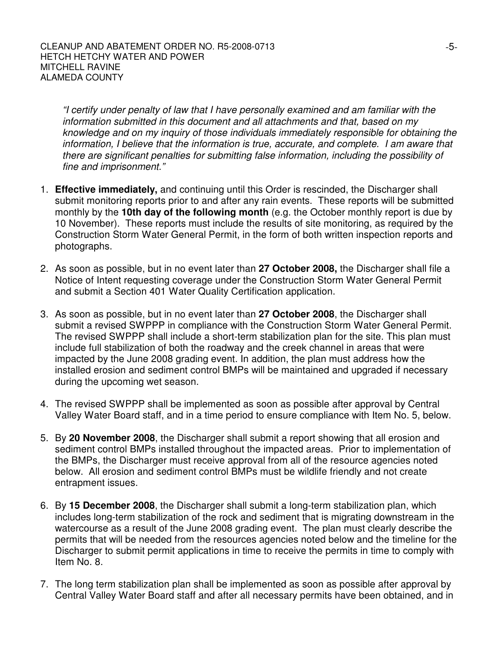*"I certify under penalty of law that I have personally examined and am familiar with the information submitted in this document and all attachments and that, based on my knowledge and on my inquiry of those individuals immediately responsible for obtaining the information, I believe that the information is true, accurate, and complete. I am aware that there are significant penalties for submitting false information, including the possibility of fine and imprisonment."*

- 1. **Effective immediately,** and continuing until this Order is rescinded, the Discharger shall submit monitoring reports prior to and after any rain events. These reports will be submitted monthly by the **10th day of the following month** (e.g. the October monthly report is due by 10 November). These reports must include the results of site monitoring, as required by the Construction Storm Water General Permit, in the form of both written inspection reports and photographs.
- 2. As soon as possible, but in no event later than **27 October 2008,** the Discharger shall file a Notice of Intent requesting coverage under the Construction Storm Water General Permit and submit a Section 401 Water Quality Certification application.
- 3. As soon as possible, but in no event later than **27 October 2008**, the Discharger shall submit a revised SWPPP in compliance with the Construction Storm Water General Permit. The revised SWPPP shall include a short-term stabilization plan for the site. This plan must include full stabilization of both the roadway and the creek channel in areas that were impacted by the June 2008 grading event. In addition, the plan must address how the installed erosion and sediment control BMPs will be maintained and upgraded if necessary during the upcoming wet season.
- 4. The revised SWPPP shall be implemented as soon as possible after approval by Central Valley Water Board staff, and in a time period to ensure compliance with Item No. 5, below.
- 5. By **20 November 2008**, the Discharger shall submit a report showing that all erosion and sediment control BMPs installed throughout the impacted areas. Prior to implementation of the BMPs, the Discharger must receive approval from all of the resource agencies noted below. All erosion and sediment control BMPs must be wildlife friendly and not create entrapment issues.
- 6. By **15 December 2008**, the Discharger shall submit a long-term stabilization plan, which includes long-term stabilization of the rock and sediment that is migrating downstream in the watercourse as a result of the June 2008 grading event. The plan must clearly describe the permits that will be needed from the resources agencies noted below and the timeline for the Discharger to submit permit applications in time to receive the permits in time to comply with Item No. 8.
- 7. The long term stabilization plan shall be implemented as soon as possible after approval by Central Valley Water Board staff and after all necessary permits have been obtained, and in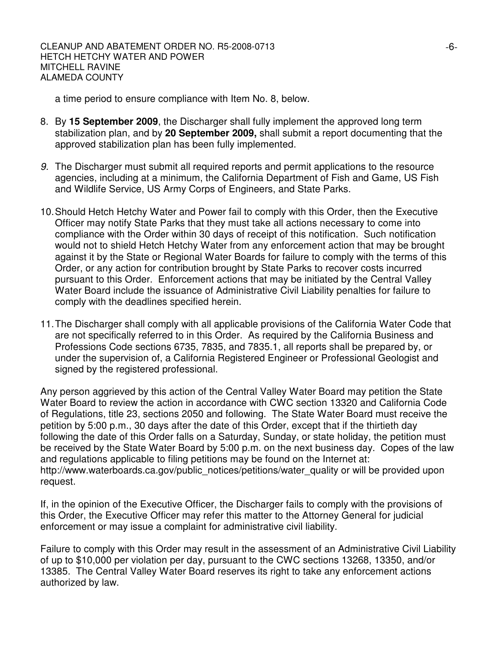a time period to ensure compliance with Item No. 8, below.

- 8. By **15 September 2009**, the Discharger shall fully implement the approved long term stabilization plan, and by **20 September 2009,** shall submit a report documenting that the approved stabilization plan has been fully implemented.
- *9.* The Discharger must submit all required reports and permit applications to the resource agencies, including at a minimum, the California Department of Fish and Game, US Fish and Wildlife Service, US Army Corps of Engineers, and State Parks.
- 10.Should Hetch Hetchy Water and Power fail to comply with this Order, then the Executive Officer may notify State Parks that they must take all actions necessary to come into compliance with the Order within 30 days of receipt of this notification. Such notification would not to shield Hetch Hetchy Water from any enforcement action that may be brought against it by the State or Regional Water Boards for failure to comply with the terms of this Order, or any action for contribution brought by State Parks to recover costs incurred pursuant to this Order. Enforcement actions that may be initiated by the Central Valley Water Board include the issuance of Administrative Civil Liability penalties for failure to comply with the deadlines specified herein.
- 11.The Discharger shall comply with all applicable provisions of the California Water Code that are not specifically referred to in this Order. As required by the California Business and Professions Code sections 6735, 7835, and 7835.1, all reports shall be prepared by, or under the supervision of, a California Registered Engineer or Professional Geologist and signed by the registered professional.

Any person aggrieved by this action of the Central Valley Water Board may petition the State Water Board to review the action in accordance with CWC section 13320 and California Code of Regulations, title 23, sections 2050 and following. The State Water Board must receive the petition by 5:00 p.m., 30 days after the date of this Order, except that if the thirtieth day following the date of this Order falls on a Saturday, Sunday, or state holiday, the petition must be received by the State Water Board by 5:00 p.m. on the next business day. Copes of the law and regulations applicable to filing petitions may be found on the Internet at: http://www.waterboards.ca.gov/public\_notices/petitions/water\_quality or will be provided upon request.

If, in the opinion of the Executive Officer, the Discharger fails to comply with the provisions of this Order, the Executive Officer may refer this matter to the Attorney General for judicial enforcement or may issue a complaint for administrative civil liability.

Failure to comply with this Order may result in the assessment of an Administrative Civil Liability of up to \$10,000 per violation per day, pursuant to the CWC sections 13268, 13350, and/or 13385. The Central Valley Water Board reserves its right to take any enforcement actions authorized by law.